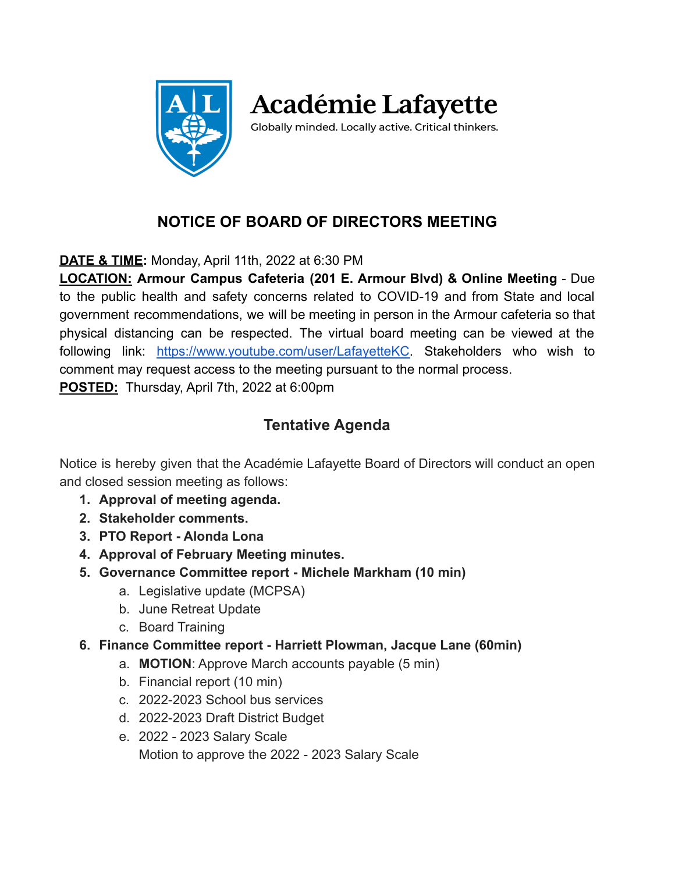

**Académie Lafayette** 

Globally minded. Locally active. Critical thinkers.

# **NOTICE OF BOARD OF DIRECTORS MEETING**

**DATE & TIME:** Monday, April 11th, 2022 at 6:30 PM

**LOCATION: Armour Campus Cafeteria (201 E. Armour Blvd) & Online Meeting** - Due to the public health and safety concerns related to COVID-19 and from State and local government recommendations, we will be meeting in person in the Armour cafeteria so that physical distancing can be respected. The virtual board meeting can be viewed at the following link: [https://www.youtube.com/user/LafayetteKC.](https://www.youtube.com/user/LafayetteKC) Stakeholders who wish to comment may request access to the meeting pursuant to the normal process. **POSTED:** Thursday, April 7th, 2022 at 6:00pm

# **Tentative Agenda**

Notice is hereby given that the Académie Lafayette Board of Directors will conduct an open and closed session meeting as follows:

- **1. Approval of meeting agenda.**
- **2. Stakeholder comments.**
- **3. PTO Report Alonda Lona**
- **4. Approval of February Meeting minutes.**
- **5. Governance Committee report Michele Markham (10 min)**
	- a. Legislative update (MCPSA)
	- b. June Retreat Update
	- c. Board Training
- **6. Finance Committee report Harriett Plowman, Jacque Lane (60min)**
	- a. **MOTION**: Approve March accounts payable (5 min)
	- b. Financial report (10 min)
	- c. 2022-2023 School bus services
	- d. 2022-2023 Draft District Budget
	- e. 2022 2023 Salary Scale Motion to approve the 2022 - 2023 Salary Scale